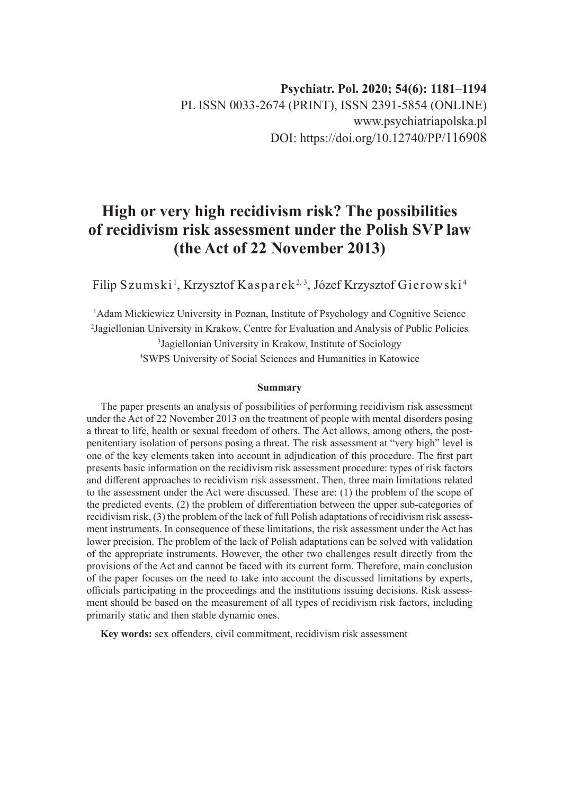# **High or very high recidivism risk? The possibilities of recidivism risk assessment under the Polish SVP law (the Act of 22 November 2013)**

Filip Szumski<sup>1</sup>, Krzysztof Kasparek<sup>2, 3</sup>, Józef Krzysztof Gierowski<sup>4</sup>

<sup>1</sup>Adam Mickiewicz University in Poznan, Institute of Psychology and Cognitive Science Jagiellonian University in Krakow, Centre for Evaluation and Analysis of Public Policies Jagiellonian University in Krakow, Institute of Sociology SWPS University of Social Sciences and Humanities in Katowice

#### **Summary**

The paper presents an analysis of possibilities of performing recidivism risk assessment under the Act of 22 November 2013 on the treatment of people with mental disorders posing a threat to life, health or sexual freedom of others. The Act allows, among others, the postpenitentiary isolation of persons posing a threat. The risk assessment at "very high" level is one of the key elements taken into account in adjudication of this procedure. The first part presents basic information on the recidivism risk assessment procedure: types of risk factors and different approaches to recidivism risk assessment. Then, three main limitations related to the assessment under the Act were discussed. These are: (1) the problem of the scope of the predicted events, (2) the problem of differentiation between the upper sub-categories of recidivism risk, (3) the problem of the lack of full Polish adaptations of recidivism risk assessment instruments. In consequence of these limitations, the risk assessment under the Act has lower precision. The problem of the lack of Polish adaptations can be solved with validation of the appropriate instruments. However, the other two challenges result directly from the provisions of the Act and cannot be faced with its current form. Therefore, main conclusion of the paper focuses on the need to take into account the discussed limitations by experts, officials participating in the proceedings and the institutions issuing decisions. Risk assessment should be based on the measurement of all types of recidivism risk factors, including primarily static and then stable dynamic ones.

**Key words:** sex offenders, civil commitment, recidivism risk assessment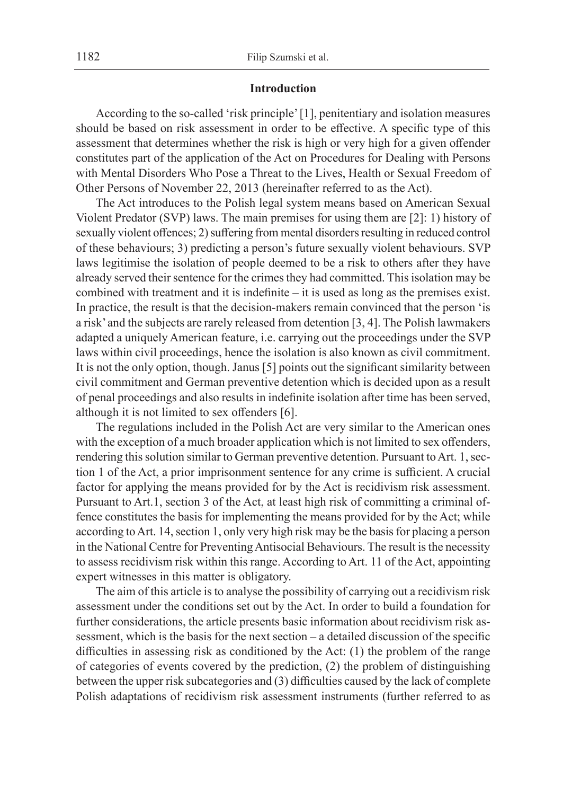#### **Introduction**

According to the so-called 'risk principle' [1], penitentiary and isolation measures should be based on risk assessment in order to be effective. A specific type of this assessment that determines whether the risk is high or very high for a given offender constitutes part of the application of the Act on Procedures for Dealing with Persons with Mental Disorders Who Pose a Threat to the Lives, Health or Sexual Freedom of Other Persons of November 22, 2013 (hereinafter referred to as the Act).

The Act introduces to the Polish legal system means based on American Sexual Violent Predator (SVP) laws. The main premises for using them are [2]: 1) history of sexually violent offences; 2) suffering from mental disorders resulting in reduced control of these behaviours; 3) predicting a person's future sexually violent behaviours. SVP laws legitimise the isolation of people deemed to be a risk to others after they have already served their sentence for the crimes they had committed. This isolation may be combined with treatment and it is indefinite – it is used as long as the premises exist. In practice, the result is that the decision-makers remain convinced that the person 'is a risk' and the subjects are rarely released from detention [3, 4]. The Polish lawmakers adapted a uniquely American feature, i.e. carrying out the proceedings under the SVP laws within civil proceedings, hence the isolation is also known as civil commitment. It is not the only option, though. Janus [5] points out the significant similarity between civil commitment and German preventive detention which is decided upon as a result of penal proceedings and also results in indefinite isolation after time has been served, although it is not limited to sex offenders [6].

The regulations included in the Polish Act are very similar to the American ones with the exception of a much broader application which is not limited to sex offenders, rendering this solution similar to German preventive detention. Pursuant to Art. 1, section 1 of the Act, a prior imprisonment sentence for any crime is sufficient. A crucial factor for applying the means provided for by the Act is recidivism risk assessment. Pursuant to Art.1, section 3 of the Act, at least high risk of committing a criminal offence constitutes the basis for implementing the means provided for by the Act; while according to Art. 14, section 1, only very high risk may be the basis for placing a person in the National Centre for Preventing Antisocial Behaviours. The result is the necessity to assess recidivism risk within this range. According to Art. 11 of the Act, appointing expert witnesses in this matter is obligatory.

The aim of this article is to analyse the possibility of carrying out a recidivism risk assessment under the conditions set out by the Act. In order to build a foundation for further considerations, the article presents basic information about recidivism risk assessment, which is the basis for the next section – a detailed discussion of the specific difficulties in assessing risk as conditioned by the Act: (1) the problem of the range of categories of events covered by the prediction, (2) the problem of distinguishing between the upper risk subcategories and (3) difficulties caused by the lack of complete Polish adaptations of recidivism risk assessment instruments (further referred to as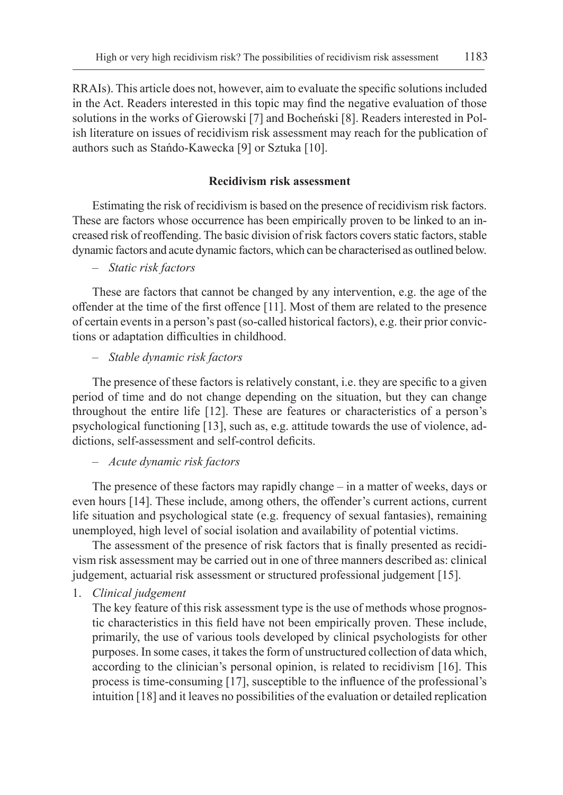RRAIs). This article does not, however, aim to evaluate the specific solutions included in the Act. Readers interested in this topic may find the negative evaluation of those solutions in the works of Gierowski [7] and Bocheński [8]. Readers interested in Polish literature on issues of recidivism risk assessment may reach for the publication of authors such as Stańdo-Kawecka [9] or Sztuka [10].

# **Recidivism risk assessment**

Estimating the risk of recidivism is based on the presence of recidivism risk factors. These are factors whose occurrence has been empirically proven to be linked to an increased risk of reoffending. The basic division of risk factors covers static factors, stable dynamic factors and acute dynamic factors, which can be characterised as outlined below.

# – *Static risk factors*

These are factors that cannot be changed by any intervention, e.g. the age of the offender at the time of the first offence [11]. Most of them are related to the presence of certain events in a person's past (so-called historical factors), e.g. their prior convictions or adaptation difficulties in childhood.

# – *Stable dynamic risk factors*

The presence of these factors is relatively constant, i.e. they are specific to a given period of time and do not change depending on the situation, but they can change throughout the entire life [12]. These are features or characteristics of a person's psychological functioning [13], such as, e.g. attitude towards the use of violence, addictions, self-assessment and self-control deficits.

# – *Acute dynamic risk factors*

The presence of these factors may rapidly change – in a matter of weeks, days or even hours [14]. These include, among others, the offender's current actions, current life situation and psychological state (e.g. frequency of sexual fantasies), remaining unemployed, high level of social isolation and availability of potential victims.

The assessment of the presence of risk factors that is finally presented as recidivism risk assessment may be carried out in one of three manners described as: clinical judgement, actuarial risk assessment or structured professional judgement [15].

# 1. *Clinical judgement*

The key feature of this risk assessment type is the use of methods whose prognostic characteristics in this field have not been empirically proven. These include, primarily, the use of various tools developed by clinical psychologists for other purposes. In some cases, it takes the form of unstructured collection of data which, according to the clinician's personal opinion, is related to recidivism [16]. This process is time-consuming [17], susceptible to the influence of the professional's intuition [18] and it leaves no possibilities of the evaluation or detailed replication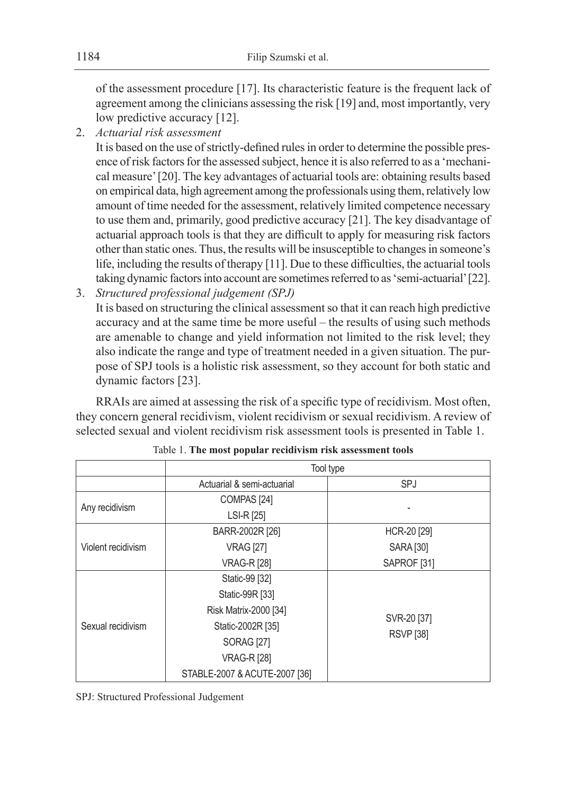of the assessment procedure [17]. Its characteristic feature is the frequent lack of agreement among the clinicians assessing the risk [19] and, most importantly, very low predictive accuracy [12].

2. *Actuarial risk assessment*

It is based on the use of strictly-defined rules in order to determine the possible presence of risk factors for the assessed subject, hence it is also referred to as a 'mechanical measure' [20]. The key advantages of actuarial tools are: obtaining results based on empirical data, high agreement among the professionals using them, relatively low amount of time needed for the assessment, relatively limited competence necessary to use them and, primarily, good predictive accuracy [21]. The key disadvantage of actuarial approach tools is that they are difficult to apply for measuring risk factors other than static ones. Thus, the results will be insusceptible to changes in someone's life, including the results of therapy [11]. Due to these difficulties, the actuarial tools taking dynamic factors into account are sometimes referred to as 'semi-actuarial' [22].

3. *Structured professional judgement (SPJ)* It is based on structuring the clinical assessment so that it can reach high predictive accuracy and at the same time be more useful – the results of using such methods are amenable to change and yield information not limited to the risk level; they also indicate the range and type of treatment needed in a given situation. The purpose of SPJ tools is a holistic risk assessment, so they account for both static and dynamic factors [23].

RRAIs are aimed at assessing the risk of a specific type of recidivism. Most often, they concern general recidivism, violent recidivism or sexual recidivism. A review of selected sexual and violent recidivism risk assessment tools is presented in Table 1.

|                    | Tool type                     |                                 |
|--------------------|-------------------------------|---------------------------------|
|                    | Actuarial & semi-actuarial    | SPJ                             |
| Any recidivism     | COMPAS <sub>[24]</sub>        |                                 |
|                    | LSI-R [25]                    |                                 |
| Violent recidivism | BARR-2002R [26]               | HCR-20 [29]                     |
|                    | <b>VRAG [27]</b>              | <b>SARA [30]</b>                |
|                    | <b>VRAG-R [28]</b>            | SAPROF <sub>[31]</sub>          |
| Sexual recidivism  | Static-99 [32]                | SVR-20 [37]<br><b>RSVP</b> [38] |
|                    | Static-99R [33]               |                                 |
|                    | Risk Matrix-2000 [34]         |                                 |
|                    | Static-2002R [35]             |                                 |
|                    | <b>SORAG [27]</b>             |                                 |
|                    | <b>VRAG-R [28]</b>            |                                 |
|                    | STABLE-2007 & ACUTE-2007 [36] |                                 |

Table 1. **The most popular recidivism risk assessment tools**

SPJ: Structured Professional Judgement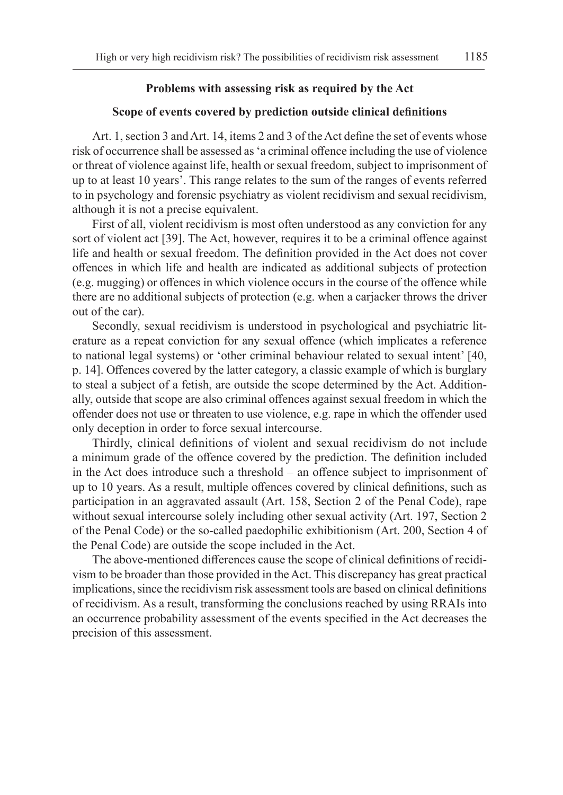# **Problems with assessing risk as required by the Act**

# **Scope of events covered by prediction outside clinical definitions**

Art. 1, section 3 and Art. 14, items 2 and 3 of the Act define the set of events whose risk of occurrence shall be assessed as 'a criminal offence including the use of violence or threat of violence against life, health or sexual freedom, subject to imprisonment of up to at least 10 years'. This range relates to the sum of the ranges of events referred to in psychology and forensic psychiatry as violent recidivism and sexual recidivism, although it is not a precise equivalent.

First of all, violent recidivism is most often understood as any conviction for any sort of violent act [39]. The Act, however, requires it to be a criminal offence against life and health or sexual freedom. The definition provided in the Act does not cover offences in which life and health are indicated as additional subjects of protection (e.g. mugging) or offences in which violence occurs in the course of the offence while there are no additional subjects of protection (e.g. when a carjacker throws the driver out of the car).

Secondly, sexual recidivism is understood in psychological and psychiatric literature as a repeat conviction for any sexual offence (which implicates a reference to national legal systems) or 'other criminal behaviour related to sexual intent' [40, p. 14]. Offences covered by the latter category, a classic example of which is burglary to steal a subject of a fetish, are outside the scope determined by the Act. Additionally, outside that scope are also criminal offences against sexual freedom in which the offender does not use or threaten to use violence, e.g. rape in which the offender used only deception in order to force sexual intercourse.

Thirdly, clinical definitions of violent and sexual recidivism do not include a minimum grade of the offence covered by the prediction. The definition included in the Act does introduce such a threshold – an offence subject to imprisonment of up to 10 years. As a result, multiple offences covered by clinical definitions, such as participation in an aggravated assault (Art. 158, Section 2 of the Penal Code), rape without sexual intercourse solely including other sexual activity (Art. 197, Section 2 of the Penal Code) or the so-called paedophilic exhibitionism (Art. 200, Section 4 of the Penal Code) are outside the scope included in the Act.

The above-mentioned differences cause the scope of clinical definitions of recidivism to be broader than those provided in the Act. This discrepancy has great practical implications, since the recidivism risk assessment tools are based on clinical definitions of recidivism. As a result, transforming the conclusions reached by using RRAIs into an occurrence probability assessment of the events specified in the Act decreases the precision of this assessment.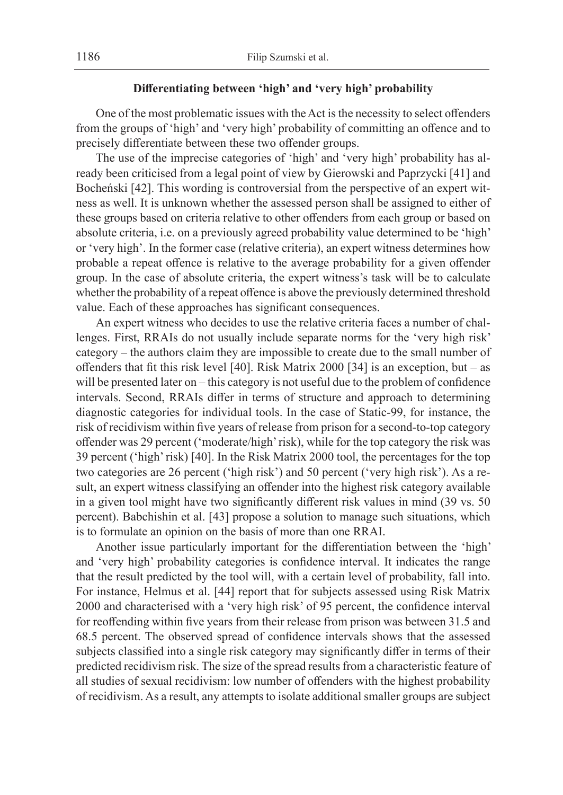# **Differentiating between 'high' and 'very high' probability**

One of the most problematic issues with the Act is the necessity to select offenders from the groups of 'high' and 'very high' probability of committing an offence and to precisely differentiate between these two offender groups.

The use of the imprecise categories of 'high' and 'very high' probability has already been criticised from a legal point of view by Gierowski and Paprzycki [41] and Bocheński [42]. This wording is controversial from the perspective of an expert witness as well. It is unknown whether the assessed person shall be assigned to either of these groups based on criteria relative to other offenders from each group or based on absolute criteria, i.e. on a previously agreed probability value determined to be 'high' or 'very high'. In the former case (relative criteria), an expert witness determines how probable a repeat offence is relative to the average probability for a given offender group. In the case of absolute criteria, the expert witness's task will be to calculate whether the probability of a repeat offence is above the previously determined threshold value. Each of these approaches has significant consequences.

An expert witness who decides to use the relative criteria faces a number of challenges. First, RRAIs do not usually include separate norms for the 'very high risk' category – the authors claim they are impossible to create due to the small number of offenders that fit this risk level [40]. Risk Matrix 2000 [34] is an exception, but – as will be presented later on – this category is not useful due to the problem of confidence intervals. Second, RRAIs differ in terms of structure and approach to determining diagnostic categories for individual tools. In the case of Static-99, for instance, the risk of recidivism within five years of release from prison for a second-to-top category offender was 29 percent ('moderate/high' risk), while for the top category the risk was 39 percent ('high' risk) [40]. In the Risk Matrix 2000 tool, the percentages for the top two categories are 26 percent ('high risk') and 50 percent ('very high risk'). As a result, an expert witness classifying an offender into the highest risk category available in a given tool might have two significantly different risk values in mind (39 vs. 50 percent). Babchishin et al. [43] propose a solution to manage such situations, which is to formulate an opinion on the basis of more than one RRAI.

Another issue particularly important for the differentiation between the 'high' and 'very high' probability categories is confidence interval. It indicates the range that the result predicted by the tool will, with a certain level of probability, fall into. For instance, Helmus et al. [44] report that for subjects assessed using Risk Matrix 2000 and characterised with a 'very high risk' of 95 percent, the confidence interval for reoffending within five years from their release from prison was between 31.5 and 68.5 percent. The observed spread of confidence intervals shows that the assessed subjects classified into a single risk category may significantly differ in terms of their predicted recidivism risk. The size of the spread results from a characteristic feature of all studies of sexual recidivism: low number of offenders with the highest probability of recidivism. As a result, any attempts to isolate additional smaller groups are subject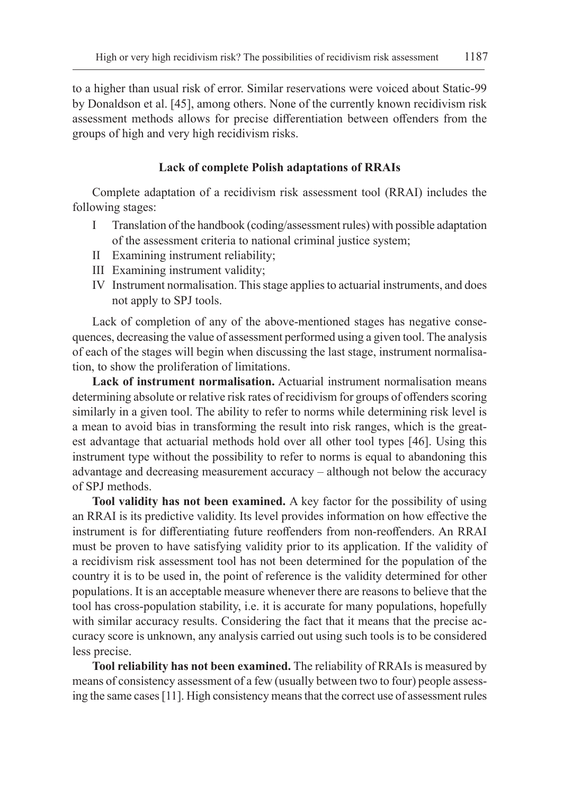to a higher than usual risk of error. Similar reservations were voiced about Static-99 by Donaldson et al. [45], among others. None of the currently known recidivism risk assessment methods allows for precise differentiation between offenders from the groups of high and very high recidivism risks.

# **Lack of complete Polish adaptations of RRAIs**

Complete adaptation of a recidivism risk assessment tool (RRAI) includes the following stages:

- I Translation of the handbook (coding/assessment rules) with possible adaptation of the assessment criteria to national criminal justice system;
- II Examining instrument reliability;
- III Examining instrument validity;
- IV Instrument normalisation. This stage applies to actuarial instruments, and does not apply to SPJ tools.

Lack of completion of any of the above-mentioned stages has negative consequences, decreasing the value of assessment performed using a given tool. The analysis of each of the stages will begin when discussing the last stage, instrument normalisation, to show the proliferation of limitations.

**Lack of instrument normalisation.** Actuarial instrument normalisation means determining absolute or relative risk rates of recidivism for groups of offenders scoring similarly in a given tool. The ability to refer to norms while determining risk level is a mean to avoid bias in transforming the result into risk ranges, which is the greatest advantage that actuarial methods hold over all other tool types [46]. Using this instrument type without the possibility to refer to norms is equal to abandoning this advantage and decreasing measurement accuracy – although not below the accuracy of SPJ methods.

**Tool validity has not been examined.** A key factor for the possibility of using an RRAI is its predictive validity. Its level provides information on how effective the instrument is for differentiating future reoffenders from non-reoffenders. An RRAI must be proven to have satisfying validity prior to its application. If the validity of a recidivism risk assessment tool has not been determined for the population of the country it is to be used in, the point of reference is the validity determined for other populations. It is an acceptable measure whenever there are reasons to believe that the tool has cross-population stability, i.e. it is accurate for many populations, hopefully with similar accuracy results. Considering the fact that it means that the precise accuracy score is unknown, any analysis carried out using such tools is to be considered less precise.

**Tool reliability has not been examined.** The reliability of RRAIs is measured by means of consistency assessment of a few (usually between two to four) people assessing the same cases [11]. High consistency means that the correct use of assessment rules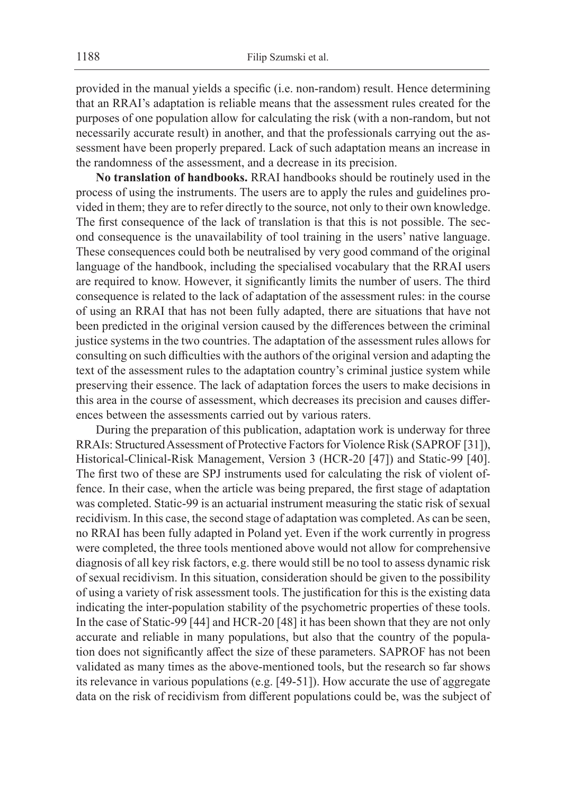provided in the manual yields a specific (i.e. non-random) result. Hence determining that an RRAI's adaptation is reliable means that the assessment rules created for the purposes of one population allow for calculating the risk (with a non-random, but not necessarily accurate result) in another, and that the professionals carrying out the assessment have been properly prepared. Lack of such adaptation means an increase in the randomness of the assessment, and a decrease in its precision.

**No translation of handbooks.** RRAI handbooks should be routinely used in the process of using the instruments. The users are to apply the rules and guidelines provided in them; they are to refer directly to the source, not only to their own knowledge. The first consequence of the lack of translation is that this is not possible. The second consequence is the unavailability of tool training in the users' native language. These consequences could both be neutralised by very good command of the original language of the handbook, including the specialised vocabulary that the RRAI users are required to know. However, it significantly limits the number of users. The third consequence is related to the lack of adaptation of the assessment rules: in the course of using an RRAI that has not been fully adapted, there are situations that have not been predicted in the original version caused by the differences between the criminal justice systems in the two countries. The adaptation of the assessment rules allows for consulting on such difficulties with the authors of the original version and adapting the text of the assessment rules to the adaptation country's criminal justice system while preserving their essence. The lack of adaptation forces the users to make decisions in this area in the course of assessment, which decreases its precision and causes differences between the assessments carried out by various raters.

During the preparation of this publication, adaptation work is underway for three RRAIs: Structured Assessment of Protective Factors for Violence Risk (SAPROF [31]), Historical-Clinical-Risk Management, Version 3 (HCR-20 [47]) and Static-99 [40]. The first two of these are SPJ instruments used for calculating the risk of violent offence. In their case, when the article was being prepared, the first stage of adaptation was completed. Static-99 is an actuarial instrument measuring the static risk of sexual recidivism. In this case, the second stage of adaptation was completed. As can be seen, no RRAI has been fully adapted in Poland yet. Even if the work currently in progress were completed, the three tools mentioned above would not allow for comprehensive diagnosis of all key risk factors, e.g. there would still be no tool to assess dynamic risk of sexual recidivism. In this situation, consideration should be given to the possibility of using a variety of risk assessment tools. The justification for this is the existing data indicating the inter-population stability of the psychometric properties of these tools. In the case of Static-99 [44] and HCR-20 [48] it has been shown that they are not only accurate and reliable in many populations, but also that the country of the population does not significantly affect the size of these parameters. SAPROF has not been validated as many times as the above-mentioned tools, but the research so far shows its relevance in various populations (e.g. [49-51]). How accurate the use of aggregate data on the risk of recidivism from different populations could be, was the subject of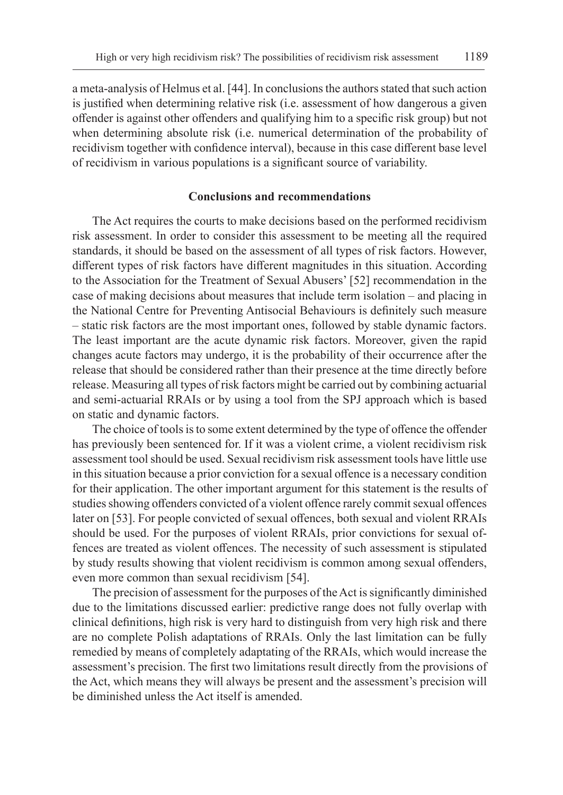a meta-analysis of Helmus et al. [44]. In conclusions the authors stated that such action is justified when determining relative risk (i.e. assessment of how dangerous a given offender is against other offenders and qualifying him to a specific risk group) but not when determining absolute risk (i.e. numerical determination of the probability of recidivism together with confidence interval), because in this case different base level of recidivism in various populations is a significant source of variability.

# **Conclusions and recommendations**

The Act requires the courts to make decisions based on the performed recidivism risk assessment. In order to consider this assessment to be meeting all the required standards, it should be based on the assessment of all types of risk factors. However, different types of risk factors have different magnitudes in this situation. According to the Association for the Treatment of Sexual Abusers' [52] recommendation in the case of making decisions about measures that include term isolation – and placing in the National Centre for Preventing Antisocial Behaviours is definitely such measure – static risk factors are the most important ones, followed by stable dynamic factors. The least important are the acute dynamic risk factors. Moreover, given the rapid changes acute factors may undergo, it is the probability of their occurrence after the release that should be considered rather than their presence at the time directly before release. Measuring all types of risk factors might be carried out by combining actuarial and semi-actuarial RRAIs or by using a tool from the SPJ approach which is based on static and dynamic factors.

The choice of tools is to some extent determined by the type of offence the offender has previously been sentenced for. If it was a violent crime, a violent recidivism risk assessment tool should be used. Sexual recidivism risk assessment tools have little use in this situation because a prior conviction for a sexual offence is a necessary condition for their application. The other important argument for this statement is the results of studies showing offenders convicted of a violent offence rarely commit sexual offences later on [53]. For people convicted of sexual offences, both sexual and violent RRAIs should be used. For the purposes of violent RRAIs, prior convictions for sexual offences are treated as violent offences. The necessity of such assessment is stipulated by study results showing that violent recidivism is common among sexual offenders, even more common than sexual recidivism [54].

The precision of assessment for the purposes of the Act is significantly diminished due to the limitations discussed earlier: predictive range does not fully overlap with clinical definitions, high risk is very hard to distinguish from very high risk and there are no complete Polish adaptations of RRAIs. Only the last limitation can be fully remedied by means of completely adaptating of the RRAIs, which would increase the assessment's precision. The first two limitations result directly from the provisions of the Act, which means they will always be present and the assessment's precision will be diminished unless the Act itself is amended.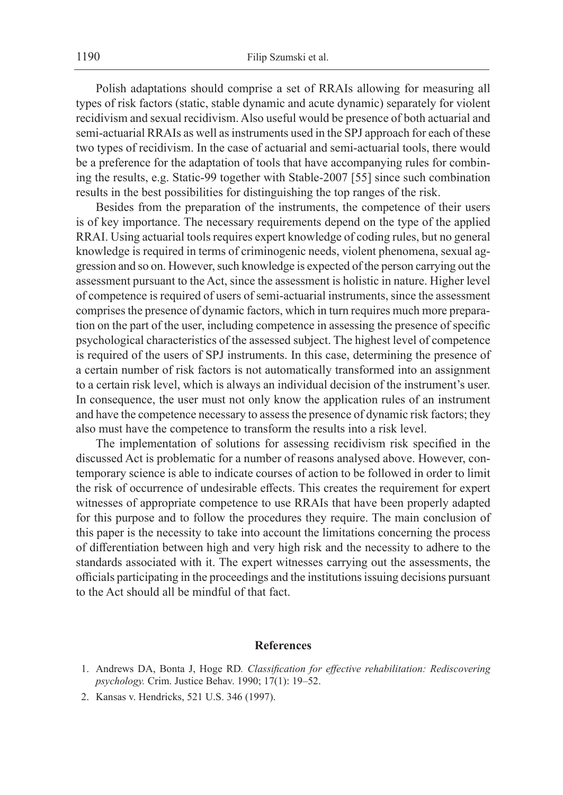Polish adaptations should comprise a set of RRAIs allowing for measuring all types of risk factors (static, stable dynamic and acute dynamic) separately for violent recidivism and sexual recidivism. Also useful would be presence of both actuarial and semi-actuarial RRAIs as well as instruments used in the SPJ approach for each of these two types of recidivism. In the case of actuarial and semi-actuarial tools, there would be a preference for the adaptation of tools that have accompanying rules for combining the results, e.g. Static-99 together with Stable-2007 [55] since such combination results in the best possibilities for distinguishing the top ranges of the risk.

Besides from the preparation of the instruments, the competence of their users is of key importance. The necessary requirements depend on the type of the applied RRAI. Using actuarial tools requires expert knowledge of coding rules, but no general knowledge is required in terms of criminogenic needs, violent phenomena, sexual aggression and so on. However, such knowledge is expected of the person carrying out the assessment pursuant to the Act, since the assessment is holistic in nature. Higher level of competence is required of users of semi-actuarial instruments, since the assessment comprises the presence of dynamic factors, which in turn requires much more preparation on the part of the user, including competence in assessing the presence of specific psychological characteristics of the assessed subject. The highest level of competence is required of the users of SPJ instruments. In this case, determining the presence of a certain number of risk factors is not automatically transformed into an assignment to a certain risk level, which is always an individual decision of the instrument's user. In consequence, the user must not only know the application rules of an instrument and have the competence necessary to assess the presence of dynamic risk factors; they also must have the competence to transform the results into a risk level.

The implementation of solutions for assessing recidivism risk specified in the discussed Act is problematic for a number of reasons analysed above. However, contemporary science is able to indicate courses of action to be followed in order to limit the risk of occurrence of undesirable effects. This creates the requirement for expert witnesses of appropriate competence to use RRAIs that have been properly adapted for this purpose and to follow the procedures they require. The main conclusion of this paper is the necessity to take into account the limitations concerning the process of differentiation between high and very high risk and the necessity to adhere to the standards associated with it. The expert witnesses carrying out the assessments, the officials participating in the proceedings and the institutions issuing decisions pursuant to the Act should all be mindful of that fact.

# **References**

- 1. Andrews DA, Bonta J, Hoge RD*. Classification for effective rehabilitation: Rediscovering psychology.* Crim. Justice Behav. 1990; 17(1): 19–52.
- 2. Kansas v. Hendricks, 521 U.S. 346 (1997).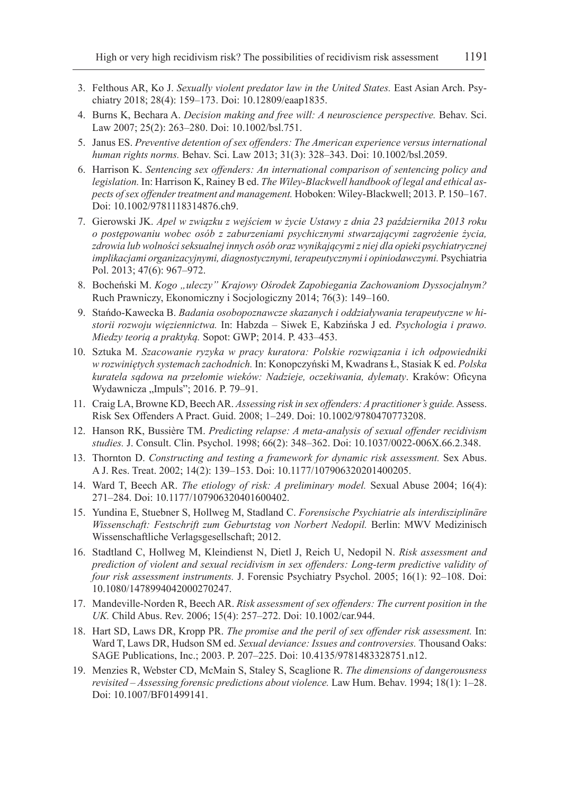- 3. Felthous AR, Ko J. *Sexually violent predator law in the United States.* East Asian Arch. Psychiatry 2018; 28(4): 159–173. Doi: 10.12809/eaap1835.
- 4. Burns K, Bechara A. *Decision making and free will: A neuroscience perspective.* Behav. Sci. Law 2007; 25(2): 263–280. Doi: 10.1002/bsl.751.
- 5. Janus ES. *Preventive detention of sex offenders: The American experience versus international human rights norms.* Behav. Sci. Law 2013; 31(3): 328–343. Doi: 10.1002/bsl.2059.
- 6. Harrison K. *Sentencing sex offenders: An international comparison of sentencing policy and legislation.* In: Harrison K, Rainey B ed. *The Wiley-Blackwell handbook of legal and ethical aspects of sex offender treatment and management.* Hoboken: Wiley-Blackwell; 2013. P. 150–167. Doi: 10.1002/9781118314876.ch9.
- 7. Gierowski JK. *Apel w związku z wejściem w życie Ustawy z dnia 23 października 2013 roku o postępowaniu wobec osób z zaburzeniami psychicznymi stwarzającymi zagrożenie życia, zdrowia lub wolności seksualnej innych osób oraz wynikającymi z niej dla opieki psychiatrycznej implikacjami organizacyjnymi, diagnostycznymi, terapeutycznymi i opiniodawczymi.* Psychiatria Pol. 2013; 47(6): 967–972.
- 8. Bocheński M. *Kogo "uleczy" Krajowy Ośrodek Zapobiegania Zachowaniom Dyssocjalnym?* Ruch Prawniczy, Ekonomiczny i Socjologiczny 2014; 76(3): 149–160.
- 9. Stańdo-Kawecka B. *Badania osobopoznawcze skazanych i oddziaływania terapeutyczne w historii rozwoju więziennictwa.* In: Habzda – Siwek E, Kabzińska J ed. *Psychologia i prawo. Miedzy teorią a praktyką.* Sopot: GWP; 2014. P. 433–453.
- 10. Sztuka M. *Szacowanie ryzyka w pracy kuratora: Polskie rozwiązania i ich odpowiedniki w rozwiniętych systemach zachodnich.* In: Konopczyński M, Kwadrans Ł, Stasiak K ed. *Polska kuratela sądowa na przełomie wieków: Nadzieje, oczekiwania, dylematy*. Kraków: Oficyna Wydawnicza "Impuls"; 2016. P. 79-91.
- 11. Craig LA, Browne KD, Beech AR. *Assessing risk in sex offenders: A practitioner's guide.* Assess. Risk Sex Offenders A Pract. Guid. 2008; 1–249. Doi: 10.1002/9780470773208.
- 12. Hanson RK, Bussière TM. *Predicting relapse: A meta-analysis of sexual offender recidivism studies.* J. Consult. Clin. Psychol. 1998; 66(2): 348–362. Doi: 10.1037/0022-006X.66.2.348.
- 13. Thornton D. *Constructing and testing a framework for dynamic risk assessment.* Sex Abus. A J. Res. Treat. 2002; 14(2): 139–153. Doi: 10.1177/107906320201400205.
- 14. Ward T, Beech AR. *The etiology of risk: A preliminary model.* Sexual Abuse 2004; 16(4): 271–284. Doi: 10.1177/107906320401600402.
- 15. Yundina E, Stuebner S, Hollweg M, Stadland C. *Forensische Psychiatrie als interdisziplinäre Wissenschaft: Festschrift zum Geburtstag von Norbert Nedopil.* Berlin: MWV Medizinisch Wissenschaftliche Verlagsgesellschaft; 2012.
- 16. Stadtland C, Hollweg M, Kleindienst N, Dietl J, Reich U, Nedopil N. *Risk assessment and prediction of violent and sexual recidivism in sex offenders: Long-term predictive validity of four risk assessment instruments.* J. Forensic Psychiatry Psychol. 2005; 16(1): 92–108. Doi: 10.1080/1478994042000270247.
- 17. Mandeville-Norden R, Beech AR. *Risk assessment of sex offenders: The current position in the UK.* Child Abus. Rev. 2006; 15(4): 257–272. Doi: 10.1002/car.944.
- 18. Hart SD, Laws DR, Kropp PR. *The promise and the peril of sex offender risk assessment.* In: Ward T, Laws DR, Hudson SM ed. *Sexual deviance: Issues and controversies.* Thousand Oaks: SAGE Publications, Inc.; 2003. P. 207–225. Doi: 10.4135/9781483328751.n12.
- 19. Menzies R, Webster CD, McMain S, Staley S, Scaglione R. *The dimensions of dangerousness revisited – Assessing forensic predictions about violence.* Law Hum. Behav. 1994; 18(1): 1–28. Doi: 10.1007/BF01499141.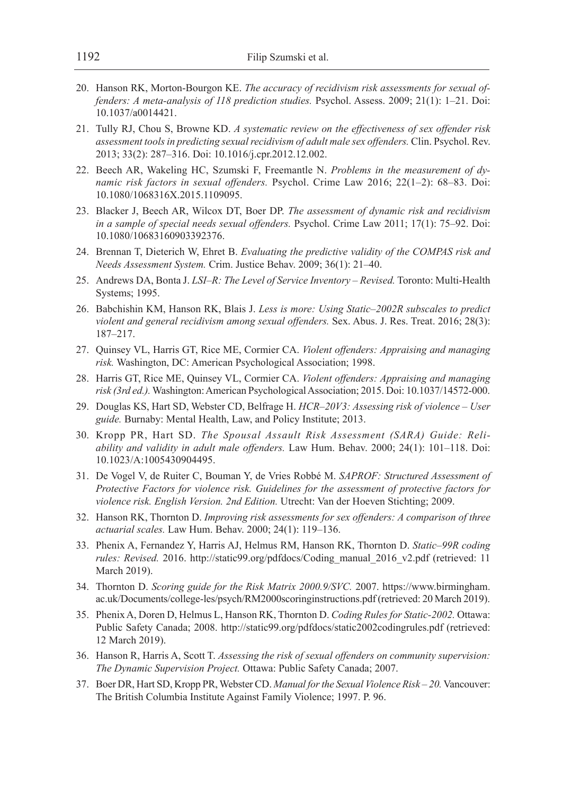- 20. Hanson RK, Morton-Bourgon KE. *The accuracy of recidivism risk assessments for sexual offenders: A meta-analysis of 118 prediction studies.* Psychol. Assess. 2009; 21(1): 1–21. Doi: 10.1037/a0014421.
- 21. Tully RJ, Chou S, Browne KD. *A systematic review on the effectiveness of sex offender risk assessment tools in predicting sexual recidivism of adult male sex offenders.* Clin. Psychol. Rev. 2013; 33(2): 287–316. Doi: 10.1016/j.cpr.2012.12.002.
- 22. Beech AR, Wakeling HC, Szumski F, Freemantle N. *Problems in the measurement of dynamic risk factors in sexual offenders.* Psychol. Crime Law 2016; 22(1–2): 68–83. Doi: 10.1080/1068316X.2015.1109095.
- 23. Blacker J, Beech AR, Wilcox DT, Boer DP. *The assessment of dynamic risk and recidivism in a sample of special needs sexual offenders.* Psychol. Crime Law 2011; 17(1): 75–92. Doi: 10.1080/10683160903392376.
- 24. Brennan T, Dieterich W, Ehret B. *Evaluating the predictive validity of the COMPAS risk and Needs Assessment System.* Crim. Justice Behav. 2009; 36(1): 21–40.
- 25. Andrews DA, Bonta J. *LSI–R: The Level of Service Inventory Revised.* Toronto: Multi-Health Systems; 1995.
- 26. Babchishin KM, Hanson RK, Blais J. *Less is more: Using Static–2002R subscales to predict violent and general recidivism among sexual offenders.* Sex. Abus. J. Res. Treat. 2016; 28(3): 187–217.
- 27. Quinsey VL, Harris GT, Rice ME, Cormier CA. *Violent offenders: Appraising and managing risk.* Washington, DC: American Psychological Association; 1998.
- 28. Harris GT, Rice ME, Quinsey VL, Cormier CA. *Violent offenders: Appraising and managing risk (3rd ed.).* Washington: American Psychological Association; 2015. Doi: 10.1037/14572-000.
- 29. Douglas KS, Hart SD, Webster CD, Belfrage H. *HCR–20V3: Assessing risk of violence User guide.* Burnaby: Mental Health, Law, and Policy Institute; 2013.
- 30. Kropp PR, Hart SD. *The Spousal Assault Risk Assessment (SARA) Guide: Reliability and validity in adult male offenders.* Law Hum. Behav. 2000; 24(1): 101–118. Doi: 10.1023/A:1005430904495.
- 31. De Vogel V, de Ruiter C, Bouman Y, de Vries Robbé M. *SAPROF: Structured Assessment of Protective Factors for violence risk. Guidelines for the assessment of protective factors for violence risk. English Version. 2nd Edition.* Utrecht: Van der Hoeven Stichting; 2009.
- 32. Hanson RK, Thornton D. *Improving risk assessments for sex offenders: A comparison of three actuarial scales.* Law Hum. Behav. 2000; 24(1): 119–136.
- 33. Phenix A, Fernandez Y, Harris AJ, Helmus RM, Hanson RK, Thornton D. *Static–99R coding rules: Revised.* 2016. http://static99.org/pdfdocs/Coding\_manual\_2016\_v2.pdf (retrieved: 11 March 2019).
- 34. Thornton D. *Scoring guide for the Risk Matrix 2000.9/SVC.* 2007. https://www.birmingham. ac.uk/Documents/college-les/psych/RM2000scoringinstructions.pdf (retrieved: 20 March 2019).
- 35. Phenix A, Doren D, Helmus L, Hanson RK, Thornton D. *Coding Rules for Static-2002.* Ottawa: Public Safety Canada; 2008. http://static99.org/pdfdocs/static2002codingrules.pdf (retrieved: 12 March 2019).
- 36. Hanson R, Harris A, Scott T. *Assessing the risk of sexual offenders on community supervision: The Dynamic Supervision Project.* Ottawa: Public Safety Canada; 2007.
- 37. Boer DR, Hart SD, Kropp PR, Webster CD. *Manual for the Sexual Violence Risk 20.* Vancouver: The British Columbia Institute Against Family Violence; 1997. P. 96.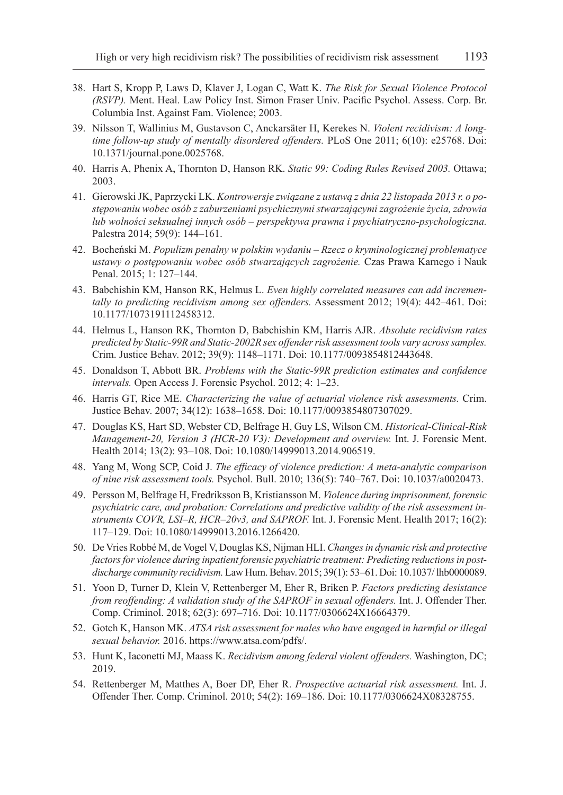- 38. Hart S, Kropp P, Laws D, Klaver J, Logan C, Watt K. *The Risk for Sexual Violence Protocol (RSVP).* Ment. Heal. Law Policy Inst. Simon Fraser Univ. Pacific Psychol. Assess. Corp. Br. Columbia Inst. Against Fam. Violence; 2003.
- 39. Nilsson T, Wallinius M, Gustavson C, Anckarsäter H, Kerekes N. *Violent recidivism: A longtime follow-up study of mentally disordered offenders.* PLoS One 2011; 6(10): e25768. Doi: 10.1371/journal.pone.0025768.
- 40. Harris A, Phenix A, Thornton D, Hanson RK. *Static 99: Coding Rules Revised 2003.* Ottawa; 2003.
- 41. Gierowski JK, Paprzycki LK. *Kontrowersje związane z ustawą z dnia 22 listopada 2013 r. o postępowaniu wobec osób z zaburzeniami psychicznymi stwarzającymi zagrożenie życia, zdrowia lub wolności seksualnej innych osób – perspektywa prawna i psychiatryczno-psychologiczna.*  Palestra 2014; 59(9): 144–161.
- 42. Bocheński M. *Populizm penalny w polskim wydaniu Rzecz o kryminologicznej problematyce ustawy o postępowaniu wobec osób stwarzających zagrożenie.* Czas Prawa Karnego i Nauk Penal. 2015; 1: 127–144.
- 43. Babchishin KM, Hanson RK, Helmus L. *Even highly correlated measures can add incrementally to predicting recidivism among sex offenders.* Assessment 2012; 19(4): 442–461. Doi: 10.1177/1073191112458312.
- 44. Helmus L, Hanson RK, Thornton D, Babchishin KM, Harris AJR. *Absolute recidivism rates predicted by Static-99R and Static-2002R sex offender risk assessment tools vary across samples.* Crim. Justice Behav. 2012; 39(9): 1148–1171. Doi: 10.1177/0093854812443648.
- 45. Donaldson T, Abbott BR. *Problems with the Static-99R prediction estimates and confidence intervals.* Open Access J. Forensic Psychol. 2012; 4: 1–23.
- 46. Harris GT, Rice ME. *Characterizing the value of actuarial violence risk assessments.* Crim. Justice Behav. 2007; 34(12): 1638–1658. Doi: 10.1177/0093854807307029.
- 47. Douglas KS, Hart SD, Webster CD, Belfrage H, Guy LS, Wilson CM. *Historical-Clinical-Risk Management-20, Version 3 (HCR-20 V3): Development and overview.* Int. J. Forensic Ment. Health 2014; 13(2): 93–108. Doi: 10.1080/14999013.2014.906519.
- 48. Yang M, Wong SCP, Coid J. *The efficacy of violence prediction: A meta-analytic comparison of nine risk assessment tools.* Psychol. Bull. 2010; 136(5): 740–767. Doi: 10.1037/a0020473.
- 49. Persson M, Belfrage H, Fredriksson B, Kristiansson M. *Violence during imprisonment, forensic psychiatric care, and probation: Correlations and predictive validity of the risk assessment instruments COVR, LSI–R, HCR–20v3, and SAPROF.* Int. J. Forensic Ment. Health 2017; 16(2): 117–129. Doi: 10.1080/14999013.2016.1266420.
- 50. De Vries Robbé M, de Vogel V, Douglas KS, Nijman HLI. *Changes in dynamic risk and protective factors for violence during inpatient forensic psychiatric treatment: Predicting reductions in postdischarge community recidivism.* Law Hum. Behav. 2015; 39(1): 53–61. Doi: 10.1037/ lhb0000089.
- 51. Yoon D, Turner D, Klein V, Rettenberger M, Eher R, Briken P. *Factors predicting desistance from reoffending: A validation study of the SAPROF in sexual offenders.* Int. J. Offender Ther. Comp. Criminol. 2018; 62(3): 697–716. Doi: 10.1177/0306624X16664379.
- 52. Gotch K, Hanson MK. *ATSA risk assessment for males who have engaged in harmful or illegal sexual behavior.* 2016. https://www.atsa.com/pdfs/.
- 53. Hunt K, Iaconetti MJ, Maass K. *Recidivism among federal violent offenders.* Washington, DC; 2019.
- 54. Rettenberger M, Matthes A, Boer DP, Eher R. *Prospective actuarial risk assessment.* Int. J. Offender Ther. Comp. Criminol. 2010; 54(2): 169–186. Doi: 10.1177/0306624X08328755.